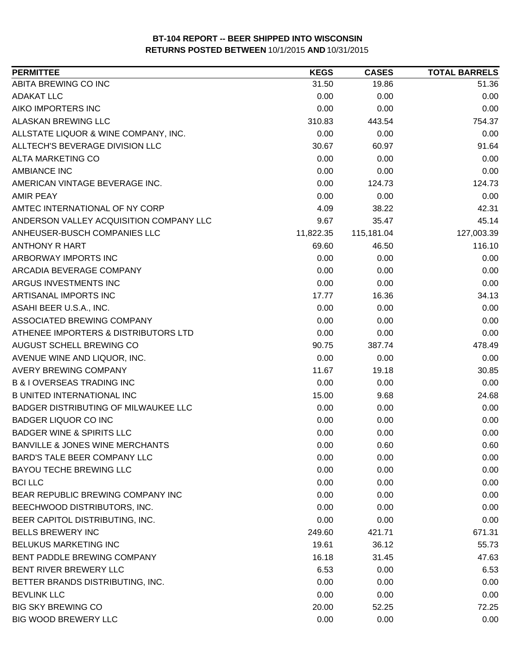| <b>PERMITTEE</b>                           | <b>KEGS</b> | <b>CASES</b> | <b>TOTAL BARRELS</b> |
|--------------------------------------------|-------------|--------------|----------------------|
| ABITA BREWING CO INC                       | 31.50       | 19.86        | 51.36                |
| <b>ADAKAT LLC</b>                          | 0.00        | 0.00         | 0.00                 |
| AIKO IMPORTERS INC                         | 0.00        | 0.00         | 0.00                 |
| <b>ALASKAN BREWING LLC</b>                 | 310.83      | 443.54       | 754.37               |
| ALLSTATE LIQUOR & WINE COMPANY, INC.       | 0.00        | 0.00         | 0.00                 |
| ALLTECH'S BEVERAGE DIVISION LLC            | 30.67       | 60.97        | 91.64                |
| <b>ALTA MARKETING CO</b>                   | 0.00        | 0.00         | 0.00                 |
| <b>AMBIANCE INC</b>                        | 0.00        | 0.00         | 0.00                 |
| AMERICAN VINTAGE BEVERAGE INC.             | 0.00        | 124.73       | 124.73               |
| <b>AMIR PEAY</b>                           | 0.00        | 0.00         | 0.00                 |
| AMTEC INTERNATIONAL OF NY CORP             | 4.09        | 38.22        | 42.31                |
| ANDERSON VALLEY ACQUISITION COMPANY LLC    | 9.67        | 35.47        | 45.14                |
| ANHEUSER-BUSCH COMPANIES LLC               | 11,822.35   | 115,181.04   | 127,003.39           |
| <b>ANTHONY R HART</b>                      | 69.60       | 46.50        | 116.10               |
| ARBORWAY IMPORTS INC                       | 0.00        | 0.00         | 0.00                 |
| ARCADIA BEVERAGE COMPANY                   | 0.00        | 0.00         | 0.00                 |
| ARGUS INVESTMENTS INC                      | 0.00        | 0.00         | 0.00                 |
| ARTISANAL IMPORTS INC                      | 17.77       | 16.36        | 34.13                |
| ASAHI BEER U.S.A., INC.                    | 0.00        | 0.00         | 0.00                 |
| ASSOCIATED BREWING COMPANY                 | 0.00        | 0.00         | 0.00                 |
| ATHENEE IMPORTERS & DISTRIBUTORS LTD       | 0.00        | 0.00         | 0.00                 |
| AUGUST SCHELL BREWING CO                   | 90.75       | 387.74       | 478.49               |
| AVENUE WINE AND LIQUOR, INC.               | 0.00        | 0.00         | 0.00                 |
| AVERY BREWING COMPANY                      | 11.67       | 19.18        | 30.85                |
| <b>B &amp; I OVERSEAS TRADING INC</b>      | 0.00        | 0.00         | 0.00                 |
| <b>B UNITED INTERNATIONAL INC</b>          | 15.00       | 9.68         | 24.68                |
| BADGER DISTRIBUTING OF MILWAUKEE LLC       | 0.00        | 0.00         | 0.00                 |
| <b>BADGER LIQUOR CO INC</b>                | 0.00        | 0.00         | 0.00                 |
| <b>BADGER WINE &amp; SPIRITS LLC</b>       | 0.00        | 0.00         | 0.00                 |
| <b>BANVILLE &amp; JONES WINE MERCHANTS</b> | 0.00        | 0.60         | 0.60                 |
| <b>BARD'S TALE BEER COMPANY LLC</b>        | 0.00        | 0.00         | 0.00                 |
| BAYOU TECHE BREWING LLC                    | 0.00        | 0.00         | 0.00                 |
| <b>BCI LLC</b>                             | 0.00        | 0.00         | 0.00                 |
| BEAR REPUBLIC BREWING COMPANY INC          | 0.00        | 0.00         | 0.00                 |
| BEECHWOOD DISTRIBUTORS, INC.               | 0.00        | 0.00         | 0.00                 |
| BEER CAPITOL DISTRIBUTING, INC.            | 0.00        | 0.00         | 0.00                 |
| <b>BELLS BREWERY INC</b>                   | 249.60      | 421.71       | 671.31               |
| BELUKUS MARKETING INC                      | 19.61       | 36.12        | 55.73                |
| BENT PADDLE BREWING COMPANY                | 16.18       | 31.45        | 47.63                |
| BENT RIVER BREWERY LLC                     | 6.53        | 0.00         | 6.53                 |
| BETTER BRANDS DISTRIBUTING, INC.           | 0.00        | 0.00         | 0.00                 |
| <b>BEVLINK LLC</b>                         | 0.00        | 0.00         | 0.00                 |
| <b>BIG SKY BREWING CO</b>                  | 20.00       | 52.25        | 72.25                |
| <b>BIG WOOD BREWERY LLC</b>                | 0.00        | 0.00         | 0.00                 |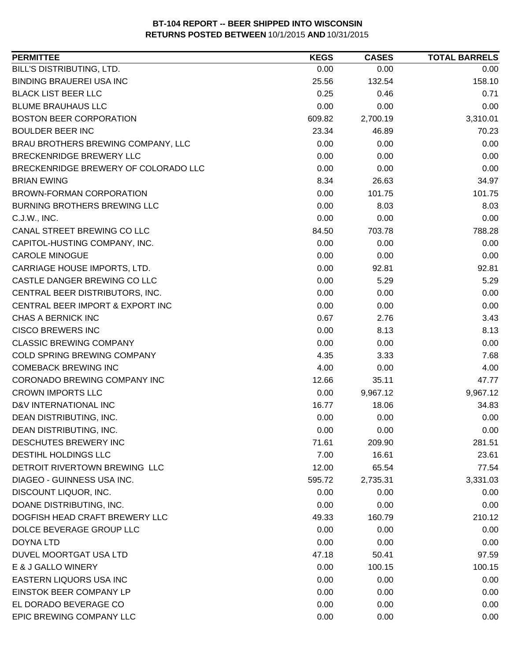| <b>PERMITTEE</b>                     | <b>KEGS</b> | <b>CASES</b> | <b>TOTAL BARRELS</b> |
|--------------------------------------|-------------|--------------|----------------------|
| BILL'S DISTRIBUTING, LTD.            | 0.00        | 0.00         | 0.00                 |
| <b>BINDING BRAUEREI USA INC</b>      | 25.56       | 132.54       | 158.10               |
| <b>BLACK LIST BEER LLC</b>           | 0.25        | 0.46         | 0.71                 |
| <b>BLUME BRAUHAUS LLC</b>            | 0.00        | 0.00         | 0.00                 |
| <b>BOSTON BEER CORPORATION</b>       | 609.82      | 2,700.19     | 3,310.01             |
| <b>BOULDER BEER INC</b>              | 23.34       | 46.89        | 70.23                |
| BRAU BROTHERS BREWING COMPANY, LLC   | 0.00        | 0.00         | 0.00                 |
| BRECKENRIDGE BREWERY LLC             | 0.00        | 0.00         | 0.00                 |
| BRECKENRIDGE BREWERY OF COLORADO LLC | 0.00        | 0.00         | 0.00                 |
| <b>BRIAN EWING</b>                   | 8.34        | 26.63        | 34.97                |
| <b>BROWN-FORMAN CORPORATION</b>      | 0.00        | 101.75       | 101.75               |
| <b>BURNING BROTHERS BREWING LLC</b>  | 0.00        | 8.03         | 8.03                 |
| C.J.W., INC.                         | 0.00        | 0.00         | 0.00                 |
| CANAL STREET BREWING CO LLC          | 84.50       | 703.78       | 788.28               |
| CAPITOL-HUSTING COMPANY, INC.        | 0.00        | 0.00         | 0.00                 |
| <b>CAROLE MINOGUE</b>                | 0.00        | 0.00         | 0.00                 |
| CARRIAGE HOUSE IMPORTS, LTD.         | 0.00        | 92.81        | 92.81                |
| CASTLE DANGER BREWING CO LLC         | 0.00        | 5.29         | 5.29                 |
| CENTRAL BEER DISTRIBUTORS, INC.      | 0.00        | 0.00         | 0.00                 |
| CENTRAL BEER IMPORT & EXPORT INC     | 0.00        | 0.00         | 0.00                 |
| <b>CHAS A BERNICK INC</b>            | 0.67        | 2.76         | 3.43                 |
| <b>CISCO BREWERS INC</b>             | 0.00        | 8.13         | 8.13                 |
| <b>CLASSIC BREWING COMPANY</b>       | 0.00        | 0.00         | 0.00                 |
| COLD SPRING BREWING COMPANY          | 4.35        | 3.33         | 7.68                 |
| <b>COMEBACK BREWING INC</b>          | 4.00        | 0.00         | 4.00                 |
| CORONADO BREWING COMPANY INC         | 12.66       | 35.11        | 47.77                |
| <b>CROWN IMPORTS LLC</b>             | 0.00        | 9,967.12     | 9,967.12             |
| D&V INTERNATIONAL INC                | 16.77       | 18.06        | 34.83                |
| DEAN DISTRIBUTING, INC.              | 0.00        | 0.00         | 0.00                 |
| DEAN DISTRIBUTING, INC.              | 0.00        | 0.00         | 0.00                 |
| DESCHUTES BREWERY INC                | 71.61       | 209.90       | 281.51               |
| <b>DESTIHL HOLDINGS LLC</b>          | 7.00        | 16.61        | 23.61                |
| DETROIT RIVERTOWN BREWING LLC        | 12.00       | 65.54        | 77.54                |
| DIAGEO - GUINNESS USA INC.           | 595.72      | 2,735.31     | 3,331.03             |
| DISCOUNT LIQUOR, INC.                | 0.00        | 0.00         | 0.00                 |
| DOANE DISTRIBUTING, INC.             | 0.00        | 0.00         | 0.00                 |
| DOGFISH HEAD CRAFT BREWERY LLC       | 49.33       | 160.79       | 210.12               |
| DOLCE BEVERAGE GROUP LLC             | 0.00        | 0.00         | 0.00                 |
| <b>DOYNA LTD</b>                     | 0.00        | 0.00         | 0.00                 |
| DUVEL MOORTGAT USA LTD               | 47.18       | 50.41        | 97.59                |
| E & J GALLO WINERY                   | 0.00        | 100.15       | 100.15               |
| EASTERN LIQUORS USA INC              | 0.00        | 0.00         | 0.00                 |
| EINSTOK BEER COMPANY LP              | 0.00        | 0.00         | 0.00                 |
| EL DORADO BEVERAGE CO                | 0.00        | 0.00         | 0.00                 |
| EPIC BREWING COMPANY LLC             | 0.00        | 0.00         | 0.00                 |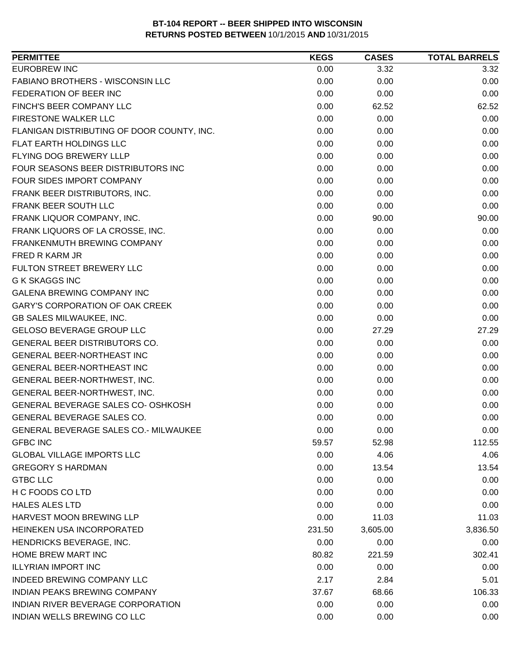| <b>PERMITTEE</b>                             | <b>KEGS</b> | <b>CASES</b> | <b>TOTAL BARRELS</b> |
|----------------------------------------------|-------------|--------------|----------------------|
| <b>EUROBREW INC</b>                          | 0.00        | 3.32         | 3.32                 |
| <b>FABIANO BROTHERS - WISCONSIN LLC</b>      | 0.00        | 0.00         | 0.00                 |
| FEDERATION OF BEER INC                       | 0.00        | 0.00         | 0.00                 |
| FINCH'S BEER COMPANY LLC                     | 0.00        | 62.52        | 62.52                |
| <b>FIRESTONE WALKER LLC</b>                  | 0.00        | 0.00         | 0.00                 |
| FLANIGAN DISTRIBUTING OF DOOR COUNTY, INC.   | 0.00        | 0.00         | 0.00                 |
| FLAT EARTH HOLDINGS LLC                      | 0.00        | 0.00         | 0.00                 |
| <b>FLYING DOG BREWERY LLLP</b>               | 0.00        | 0.00         | 0.00                 |
| FOUR SEASONS BEER DISTRIBUTORS INC           | 0.00        | 0.00         | 0.00                 |
| FOUR SIDES IMPORT COMPANY                    | 0.00        | 0.00         | 0.00                 |
| FRANK BEER DISTRIBUTORS, INC.                | 0.00        | 0.00         | 0.00                 |
| FRANK BEER SOUTH LLC                         | 0.00        | 0.00         | 0.00                 |
| FRANK LIQUOR COMPANY, INC.                   | 0.00        | 90.00        | 90.00                |
| FRANK LIQUORS OF LA CROSSE, INC.             | 0.00        | 0.00         | 0.00                 |
| FRANKENMUTH BREWING COMPANY                  | 0.00        | 0.00         | 0.00                 |
| FRED R KARM JR                               | 0.00        | 0.00         | 0.00                 |
| FULTON STREET BREWERY LLC                    | 0.00        | 0.00         | 0.00                 |
| <b>G K SKAGGS INC</b>                        | 0.00        | 0.00         | 0.00                 |
| <b>GALENA BREWING COMPANY INC</b>            | 0.00        | 0.00         | 0.00                 |
| <b>GARY'S CORPORATION OF OAK CREEK</b>       | 0.00        | 0.00         | 0.00                 |
| <b>GB SALES MILWAUKEE, INC.</b>              | 0.00        | 0.00         | 0.00                 |
| <b>GELOSO BEVERAGE GROUP LLC</b>             | 0.00        | 27.29        | 27.29                |
| GENERAL BEER DISTRIBUTORS CO.                | 0.00        | 0.00         | 0.00                 |
| <b>GENERAL BEER-NORTHEAST INC</b>            | 0.00        | 0.00         | 0.00                 |
| GENERAL BEER-NORTHEAST INC                   | 0.00        | 0.00         | 0.00                 |
| GENERAL BEER-NORTHWEST, INC.                 | 0.00        | 0.00         | 0.00                 |
| GENERAL BEER-NORTHWEST, INC.                 | 0.00        | 0.00         | 0.00                 |
| GENERAL BEVERAGE SALES CO- OSHKOSH           | 0.00        | 0.00         | 0.00                 |
| GENERAL BEVERAGE SALES CO.                   | 0.00        | 0.00         | 0.00                 |
| <b>GENERAL BEVERAGE SALES CO.- MILWAUKEE</b> | 0.00        | 0.00         | 0.00                 |
| <b>GFBC INC</b>                              | 59.57       | 52.98        | 112.55               |
| <b>GLOBAL VILLAGE IMPORTS LLC</b>            | 0.00        | 4.06         | 4.06                 |
| <b>GREGORY S HARDMAN</b>                     | 0.00        | 13.54        | 13.54                |
| <b>GTBC LLC</b>                              | 0.00        | 0.00         | 0.00                 |
| H C FOODS CO LTD                             | 0.00        | 0.00         | 0.00                 |
| <b>HALES ALES LTD</b>                        | 0.00        | 0.00         | 0.00                 |
| <b>HARVEST MOON BREWING LLP</b>              | 0.00        | 11.03        | 11.03                |
| HEINEKEN USA INCORPORATED                    | 231.50      | 3,605.00     | 3,836.50             |
| HENDRICKS BEVERAGE, INC.                     | 0.00        | 0.00         | 0.00                 |
| HOME BREW MART INC                           | 80.82       | 221.59       | 302.41               |
| <b>ILLYRIAN IMPORT INC</b>                   | 0.00        | 0.00         | 0.00                 |
| INDEED BREWING COMPANY LLC                   | 2.17        | 2.84         | 5.01                 |
| <b>INDIAN PEAKS BREWING COMPANY</b>          | 37.67       | 68.66        | 106.33               |
| INDIAN RIVER BEVERAGE CORPORATION            | 0.00        | 0.00         | 0.00                 |
| INDIAN WELLS BREWING CO LLC                  | 0.00        | 0.00         | 0.00                 |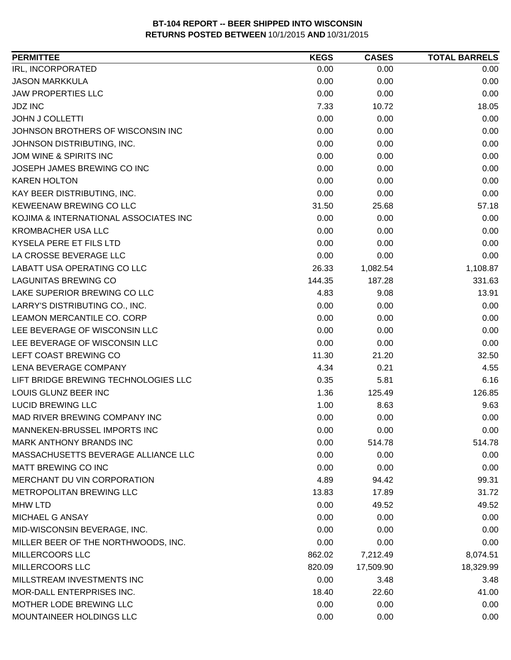| <b>PERMITTEE</b>                      | <b>KEGS</b> | <b>CASES</b> | <b>TOTAL BARRELS</b> |
|---------------------------------------|-------------|--------------|----------------------|
| IRL, INCORPORATED                     | 0.00        | 0.00         | 0.00                 |
| <b>JASON MARKKULA</b>                 | 0.00        | 0.00         | 0.00                 |
| <b>JAW PROPERTIES LLC</b>             | 0.00        | 0.00         | 0.00                 |
| <b>JDZ INC</b>                        | 7.33        | 10.72        | 18.05                |
| <b>JOHN J COLLETTI</b>                | 0.00        | 0.00         | 0.00                 |
| JOHNSON BROTHERS OF WISCONSIN INC     | 0.00        | 0.00         | 0.00                 |
| JOHNSON DISTRIBUTING, INC.            | 0.00        | 0.00         | 0.00                 |
| JOM WINE & SPIRITS INC                | 0.00        | 0.00         | 0.00                 |
| JOSEPH JAMES BREWING CO INC           | 0.00        | 0.00         | 0.00                 |
| <b>KAREN HOLTON</b>                   | 0.00        | 0.00         | 0.00                 |
| KAY BEER DISTRIBUTING, INC.           | 0.00        | 0.00         | 0.00                 |
| KEWEENAW BREWING CO LLC               | 31.50       | 25.68        | 57.18                |
| KOJIMA & INTERNATIONAL ASSOCIATES INC | 0.00        | 0.00         | 0.00                 |
| <b>KROMBACHER USA LLC</b>             | 0.00        | 0.00         | 0.00                 |
| KYSELA PERE ET FILS LTD               | 0.00        | 0.00         | 0.00                 |
| LA CROSSE BEVERAGE LLC                | 0.00        | 0.00         | 0.00                 |
| LABATT USA OPERATING CO LLC           | 26.33       | 1,082.54     | 1,108.87             |
| <b>LAGUNITAS BREWING CO</b>           | 144.35      | 187.28       | 331.63               |
| LAKE SUPERIOR BREWING CO LLC          | 4.83        | 9.08         | 13.91                |
| LARRY'S DISTRIBUTING CO., INC.        | 0.00        | 0.00         | 0.00                 |
| LEAMON MERCANTILE CO. CORP            | 0.00        | 0.00         | 0.00                 |
| LEE BEVERAGE OF WISCONSIN LLC         | 0.00        | 0.00         | 0.00                 |
| LEE BEVERAGE OF WISCONSIN LLC         | 0.00        | 0.00         | 0.00                 |
| LEFT COAST BREWING CO                 | 11.30       | 21.20        | 32.50                |
| LENA BEVERAGE COMPANY                 | 4.34        | 0.21         | 4.55                 |
| LIFT BRIDGE BREWING TECHNOLOGIES LLC  | 0.35        | 5.81         | 6.16                 |
| LOUIS GLUNZ BEER INC                  | 1.36        | 125.49       | 126.85               |
| <b>LUCID BREWING LLC</b>              | 1.00        | 8.63         | 9.63                 |
| MAD RIVER BREWING COMPANY INC         | 0.00        | 0.00         | 0.00                 |
| MANNEKEN-BRUSSEL IMPORTS INC          | 0.00        | 0.00         | 0.00                 |
| MARK ANTHONY BRANDS INC               | 0.00        | 514.78       | 514.78               |
| MASSACHUSETTS BEVERAGE ALLIANCE LLC   | 0.00        | 0.00         | 0.00                 |
| MATT BREWING CO INC                   | 0.00        | 0.00         | 0.00                 |
| MERCHANT DU VIN CORPORATION           | 4.89        | 94.42        | 99.31                |
| <b>METROPOLITAN BREWING LLC</b>       | 13.83       | 17.89        | 31.72                |
| <b>MHW LTD</b>                        | 0.00        | 49.52        | 49.52                |
| MICHAEL G ANSAY                       | 0.00        | 0.00         | 0.00                 |
| MID-WISCONSIN BEVERAGE, INC.          | 0.00        | 0.00         | 0.00                 |
| MILLER BEER OF THE NORTHWOODS, INC.   | 0.00        | 0.00         | 0.00                 |
| <b>MILLERCOORS LLC</b>                | 862.02      | 7,212.49     | 8,074.51             |
| MILLERCOORS LLC                       | 820.09      | 17,509.90    | 18,329.99            |
| MILLSTREAM INVESTMENTS INC            | 0.00        | 3.48         | 3.48                 |
| MOR-DALL ENTERPRISES INC.             | 18.40       | 22.60        | 41.00                |
| MOTHER LODE BREWING LLC               | 0.00        | 0.00         | 0.00                 |
| MOUNTAINEER HOLDINGS LLC              | 0.00        | 0.00         | 0.00                 |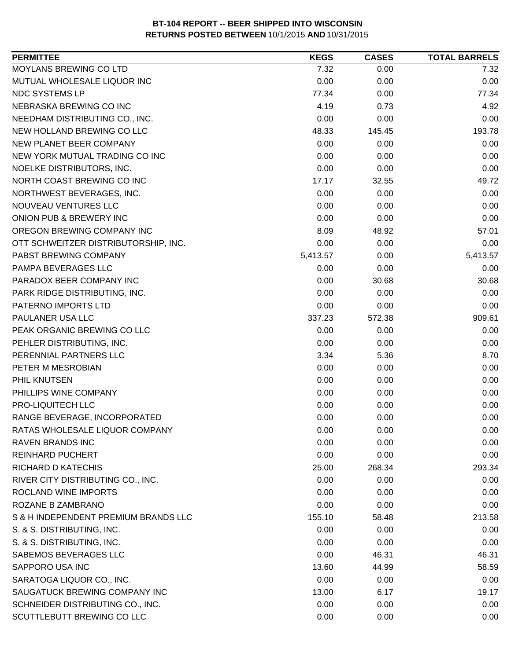| <b>PERMITTEE</b>                     | <b>KEGS</b> | <b>CASES</b> | <b>TOTAL BARRELS</b> |
|--------------------------------------|-------------|--------------|----------------------|
| MOYLANS BREWING CO LTD               | 7.32        | 0.00         | 7.32                 |
| MUTUAL WHOLESALE LIQUOR INC          | 0.00        | 0.00         | 0.00                 |
| NDC SYSTEMS LP                       | 77.34       | 0.00         | 77.34                |
| NEBRASKA BREWING CO INC              | 4.19        | 0.73         | 4.92                 |
| NEEDHAM DISTRIBUTING CO., INC.       | 0.00        | 0.00         | 0.00                 |
| NEW HOLLAND BREWING CO LLC           | 48.33       | 145.45       | 193.78               |
| NEW PLANET BEER COMPANY              | 0.00        | 0.00         | 0.00                 |
| NEW YORK MUTUAL TRADING CO INC       | 0.00        | 0.00         | 0.00                 |
| NOELKE DISTRIBUTORS, INC.            | 0.00        | 0.00         | 0.00                 |
| NORTH COAST BREWING CO INC           | 17.17       | 32.55        | 49.72                |
| NORTHWEST BEVERAGES, INC.            | 0.00        | 0.00         | 0.00                 |
| NOUVEAU VENTURES LLC                 | 0.00        | 0.00         | 0.00                 |
| ONION PUB & BREWERY INC              | 0.00        | 0.00         | 0.00                 |
| OREGON BREWING COMPANY INC           | 8.09        | 48.92        | 57.01                |
| OTT SCHWEITZER DISTRIBUTORSHIP, INC. | 0.00        | 0.00         | 0.00                 |
| PABST BREWING COMPANY                | 5,413.57    | 0.00         | 5,413.57             |
| PAMPA BEVERAGES LLC                  | 0.00        | 0.00         | 0.00                 |
| PARADOX BEER COMPANY INC             | 0.00        | 30.68        | 30.68                |
| PARK RIDGE DISTRIBUTING, INC.        | 0.00        | 0.00         | 0.00                 |
| PATERNO IMPORTS LTD                  | 0.00        | 0.00         | 0.00                 |
| PAULANER USA LLC                     | 337.23      | 572.38       | 909.61               |
| PEAK ORGANIC BREWING CO LLC          | 0.00        | 0.00         | 0.00                 |
| PEHLER DISTRIBUTING, INC.            | 0.00        | 0.00         | 0.00                 |
| PERENNIAL PARTNERS LLC               | 3.34        | 5.36         | 8.70                 |
| PETER M MESROBIAN                    | 0.00        | 0.00         | 0.00                 |
| PHIL KNUTSEN                         | 0.00        | 0.00         | 0.00                 |
| PHILLIPS WINE COMPANY                | 0.00        | 0.00         | 0.00                 |
| PRO-LIQUITECH LLC                    | 0.00        | 0.00         | 0.00                 |
| RANGE BEVERAGE, INCORPORATED         | 0.00        | 0.00         | 0.00                 |
| RATAS WHOLESALE LIQUOR COMPANY       | 0.00        | 0.00         | 0.00                 |
| <b>RAVEN BRANDS INC</b>              | 0.00        | 0.00         | 0.00                 |
| <b>REINHARD PUCHERT</b>              | 0.00        | 0.00         | 0.00                 |
| <b>RICHARD D KATECHIS</b>            | 25.00       | 268.34       | 293.34               |
| RIVER CITY DISTRIBUTING CO., INC.    | 0.00        | 0.00         | 0.00                 |
| ROCLAND WINE IMPORTS                 | 0.00        | 0.00         | 0.00                 |
| ROZANE B ZAMBRANO                    | 0.00        | 0.00         | 0.00                 |
| S & H INDEPENDENT PREMIUM BRANDS LLC | 155.10      | 58.48        | 213.58               |
| S. & S. DISTRIBUTING, INC.           | 0.00        | 0.00         | 0.00                 |
| S. & S. DISTRIBUTING, INC.           | 0.00        | 0.00         | 0.00                 |
| SABEMOS BEVERAGES LLC                | 0.00        | 46.31        | 46.31                |
| SAPPORO USA INC                      | 13.60       | 44.99        | 58.59                |
| SARATOGA LIQUOR CO., INC.            | 0.00        | 0.00         | 0.00                 |
| SAUGATUCK BREWING COMPANY INC        | 13.00       | 6.17         | 19.17                |
| SCHNEIDER DISTRIBUTING CO., INC.     | 0.00        | 0.00         | 0.00                 |
| SCUTTLEBUTT BREWING CO LLC           | 0.00        | 0.00         | 0.00                 |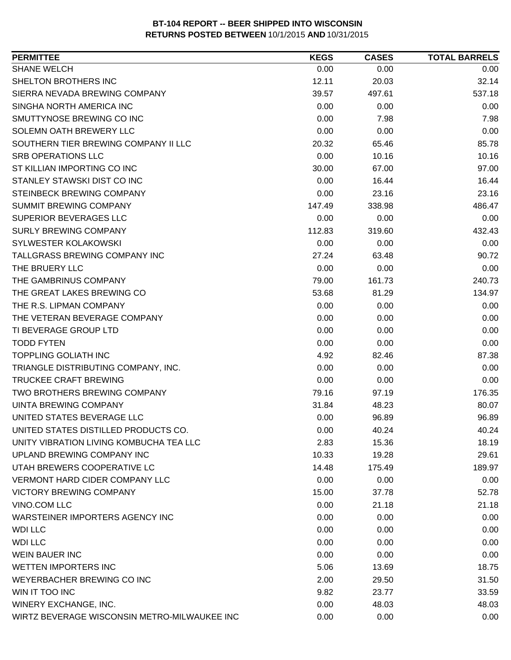| <b>SHANE WELCH</b><br>0.00<br>0.00<br>0.00<br>SHELTON BROTHERS INC<br>32.14<br>12.11<br>20.03<br>SIERRA NEVADA BREWING COMPANY<br>39.57<br>497.61<br>537.18<br>SINGHA NORTH AMERICA INC<br>0.00<br>0.00<br>0.00<br>SMUTTYNOSE BREWING CO INC<br>0.00<br>7.98<br>7.98<br>SOLEMN OATH BREWERY LLC<br>0.00<br>0.00<br>0.00<br>SOUTHERN TIER BREWING COMPANY II LLC<br>20.32<br>85.78<br>65.46<br>0.00<br>10.16<br><b>SRB OPERATIONS LLC</b><br>10.16<br>ST KILLIAN IMPORTING CO INC<br>97.00<br>30.00<br>67.00<br>STANLEY STAWSKI DIST CO INC<br>16.44<br>0.00<br>16.44<br>STEINBECK BREWING COMPANY<br>23.16<br>0.00<br>23.16<br>486.47<br><b>SUMMIT BREWING COMPANY</b><br>338.98<br>147.49<br>SUPERIOR BEVERAGES LLC<br>0.00<br>0.00<br>0.00<br><b>SURLY BREWING COMPANY</b><br>432.43<br>112.83<br>319.60<br>SYLWESTER KOLAKOWSKI<br>0.00<br>0.00<br>0.00<br>TALLGRASS BREWING COMPANY INC<br>27.24<br>63.48<br>90.72<br>THE BRUERY LLC<br>0.00<br>0.00<br>0.00<br>THE GAMBRINUS COMPANY<br>79.00<br>240.73<br>161.73<br>THE GREAT LAKES BREWING CO<br>53.68<br>81.29<br>134.97<br>THE R.S. LIPMAN COMPANY<br>0.00<br>0.00<br>0.00<br>0.00<br>0.00<br>THE VETERAN BEVERAGE COMPANY<br>0.00<br>TI BEVERAGE GROUP LTD<br>0.00<br>0.00<br>0.00<br><b>TODD FYTEN</b><br>0.00<br>0.00<br>0.00<br><b>TOPPLING GOLIATH INC</b><br>4.92<br>82.46<br>87.38<br>TRIANGLE DISTRIBUTING COMPANY, INC.<br>0.00<br>0.00<br>0.00<br><b>TRUCKEE CRAFT BREWING</b><br>0.00<br>0.00<br>0.00<br>TWO BROTHERS BREWING COMPANY<br>79.16<br>176.35<br>97.19<br>UINTA BREWING COMPANY<br>31.84<br>48.23<br>80.07<br>UNITED STATES BEVERAGE LLC<br>0.00<br>96.89<br>96.89<br>UNITED STATES DISTILLED PRODUCTS CO.<br>40.24<br>0.00<br>40.24<br>UNITY VIBRATION LIVING KOMBUCHA TEA LLC<br>2.83<br>15.36<br>18.19<br>UPLAND BREWING COMPANY INC<br>10.33<br>19.28<br>29.61<br>UTAH BREWERS COOPERATIVE LC<br>14.48<br>189.97<br>175.49<br><b>VERMONT HARD CIDER COMPANY LLC</b><br>0.00<br>0.00<br>0.00<br><b>VICTORY BREWING COMPANY</b><br>15.00<br>37.78<br>52.78<br>VINO.COM LLC<br>0.00<br>21.18<br>21.18<br>WARSTEINER IMPORTERS AGENCY INC<br>0.00<br>0.00<br>0.00<br><b>WDI LLC</b><br>0.00<br>0.00<br>0.00<br>0.00<br>0.00<br>0.00<br><b>WEIN BAUER INC</b><br>0.00<br>0.00<br>0.00<br>5.06<br>18.75<br>13.69<br>WEYERBACHER BREWING CO INC<br>31.50<br>2.00<br>29.50<br>9.82<br>23.77<br>33.59<br>WINERY EXCHANGE, INC.<br>0.00<br>48.03<br>48.03<br>WIRTZ BEVERAGE WISCONSIN METRO-MILWAUKEE INC<br>0.00<br>0.00<br>0.00 | <b>PERMITTEE</b>            | <b>KEGS</b> | <b>CASES</b> | <b>TOTAL BARRELS</b> |
|------------------------------------------------------------------------------------------------------------------------------------------------------------------------------------------------------------------------------------------------------------------------------------------------------------------------------------------------------------------------------------------------------------------------------------------------------------------------------------------------------------------------------------------------------------------------------------------------------------------------------------------------------------------------------------------------------------------------------------------------------------------------------------------------------------------------------------------------------------------------------------------------------------------------------------------------------------------------------------------------------------------------------------------------------------------------------------------------------------------------------------------------------------------------------------------------------------------------------------------------------------------------------------------------------------------------------------------------------------------------------------------------------------------------------------------------------------------------------------------------------------------------------------------------------------------------------------------------------------------------------------------------------------------------------------------------------------------------------------------------------------------------------------------------------------------------------------------------------------------------------------------------------------------------------------------------------------------------------------------------------------------------------------------------------------------------------------------------------------------------------------------------------------------------------------------------------------------------------------------------------------------------------------------------------------------------------------------------------------------------------------------------------------------------------------------------------------------------------------------------------------|-----------------------------|-------------|--------------|----------------------|
|                                                                                                                                                                                                                                                                                                                                                                                                                                                                                                                                                                                                                                                                                                                                                                                                                                                                                                                                                                                                                                                                                                                                                                                                                                                                                                                                                                                                                                                                                                                                                                                                                                                                                                                                                                                                                                                                                                                                                                                                                                                                                                                                                                                                                                                                                                                                                                                                                                                                                                            |                             |             |              |                      |
|                                                                                                                                                                                                                                                                                                                                                                                                                                                                                                                                                                                                                                                                                                                                                                                                                                                                                                                                                                                                                                                                                                                                                                                                                                                                                                                                                                                                                                                                                                                                                                                                                                                                                                                                                                                                                                                                                                                                                                                                                                                                                                                                                                                                                                                                                                                                                                                                                                                                                                            |                             |             |              |                      |
|                                                                                                                                                                                                                                                                                                                                                                                                                                                                                                                                                                                                                                                                                                                                                                                                                                                                                                                                                                                                                                                                                                                                                                                                                                                                                                                                                                                                                                                                                                                                                                                                                                                                                                                                                                                                                                                                                                                                                                                                                                                                                                                                                                                                                                                                                                                                                                                                                                                                                                            |                             |             |              |                      |
|                                                                                                                                                                                                                                                                                                                                                                                                                                                                                                                                                                                                                                                                                                                                                                                                                                                                                                                                                                                                                                                                                                                                                                                                                                                                                                                                                                                                                                                                                                                                                                                                                                                                                                                                                                                                                                                                                                                                                                                                                                                                                                                                                                                                                                                                                                                                                                                                                                                                                                            |                             |             |              |                      |
|                                                                                                                                                                                                                                                                                                                                                                                                                                                                                                                                                                                                                                                                                                                                                                                                                                                                                                                                                                                                                                                                                                                                                                                                                                                                                                                                                                                                                                                                                                                                                                                                                                                                                                                                                                                                                                                                                                                                                                                                                                                                                                                                                                                                                                                                                                                                                                                                                                                                                                            |                             |             |              |                      |
|                                                                                                                                                                                                                                                                                                                                                                                                                                                                                                                                                                                                                                                                                                                                                                                                                                                                                                                                                                                                                                                                                                                                                                                                                                                                                                                                                                                                                                                                                                                                                                                                                                                                                                                                                                                                                                                                                                                                                                                                                                                                                                                                                                                                                                                                                                                                                                                                                                                                                                            |                             |             |              |                      |
|                                                                                                                                                                                                                                                                                                                                                                                                                                                                                                                                                                                                                                                                                                                                                                                                                                                                                                                                                                                                                                                                                                                                                                                                                                                                                                                                                                                                                                                                                                                                                                                                                                                                                                                                                                                                                                                                                                                                                                                                                                                                                                                                                                                                                                                                                                                                                                                                                                                                                                            |                             |             |              |                      |
|                                                                                                                                                                                                                                                                                                                                                                                                                                                                                                                                                                                                                                                                                                                                                                                                                                                                                                                                                                                                                                                                                                                                                                                                                                                                                                                                                                                                                                                                                                                                                                                                                                                                                                                                                                                                                                                                                                                                                                                                                                                                                                                                                                                                                                                                                                                                                                                                                                                                                                            |                             |             |              |                      |
|                                                                                                                                                                                                                                                                                                                                                                                                                                                                                                                                                                                                                                                                                                                                                                                                                                                                                                                                                                                                                                                                                                                                                                                                                                                                                                                                                                                                                                                                                                                                                                                                                                                                                                                                                                                                                                                                                                                                                                                                                                                                                                                                                                                                                                                                                                                                                                                                                                                                                                            |                             |             |              |                      |
|                                                                                                                                                                                                                                                                                                                                                                                                                                                                                                                                                                                                                                                                                                                                                                                                                                                                                                                                                                                                                                                                                                                                                                                                                                                                                                                                                                                                                                                                                                                                                                                                                                                                                                                                                                                                                                                                                                                                                                                                                                                                                                                                                                                                                                                                                                                                                                                                                                                                                                            |                             |             |              |                      |
|                                                                                                                                                                                                                                                                                                                                                                                                                                                                                                                                                                                                                                                                                                                                                                                                                                                                                                                                                                                                                                                                                                                                                                                                                                                                                                                                                                                                                                                                                                                                                                                                                                                                                                                                                                                                                                                                                                                                                                                                                                                                                                                                                                                                                                                                                                                                                                                                                                                                                                            |                             |             |              |                      |
|                                                                                                                                                                                                                                                                                                                                                                                                                                                                                                                                                                                                                                                                                                                                                                                                                                                                                                                                                                                                                                                                                                                                                                                                                                                                                                                                                                                                                                                                                                                                                                                                                                                                                                                                                                                                                                                                                                                                                                                                                                                                                                                                                                                                                                                                                                                                                                                                                                                                                                            |                             |             |              |                      |
|                                                                                                                                                                                                                                                                                                                                                                                                                                                                                                                                                                                                                                                                                                                                                                                                                                                                                                                                                                                                                                                                                                                                                                                                                                                                                                                                                                                                                                                                                                                                                                                                                                                                                                                                                                                                                                                                                                                                                                                                                                                                                                                                                                                                                                                                                                                                                                                                                                                                                                            |                             |             |              |                      |
|                                                                                                                                                                                                                                                                                                                                                                                                                                                                                                                                                                                                                                                                                                                                                                                                                                                                                                                                                                                                                                                                                                                                                                                                                                                                                                                                                                                                                                                                                                                                                                                                                                                                                                                                                                                                                                                                                                                                                                                                                                                                                                                                                                                                                                                                                                                                                                                                                                                                                                            |                             |             |              |                      |
|                                                                                                                                                                                                                                                                                                                                                                                                                                                                                                                                                                                                                                                                                                                                                                                                                                                                                                                                                                                                                                                                                                                                                                                                                                                                                                                                                                                                                                                                                                                                                                                                                                                                                                                                                                                                                                                                                                                                                                                                                                                                                                                                                                                                                                                                                                                                                                                                                                                                                                            |                             |             |              |                      |
|                                                                                                                                                                                                                                                                                                                                                                                                                                                                                                                                                                                                                                                                                                                                                                                                                                                                                                                                                                                                                                                                                                                                                                                                                                                                                                                                                                                                                                                                                                                                                                                                                                                                                                                                                                                                                                                                                                                                                                                                                                                                                                                                                                                                                                                                                                                                                                                                                                                                                                            |                             |             |              |                      |
|                                                                                                                                                                                                                                                                                                                                                                                                                                                                                                                                                                                                                                                                                                                                                                                                                                                                                                                                                                                                                                                                                                                                                                                                                                                                                                                                                                                                                                                                                                                                                                                                                                                                                                                                                                                                                                                                                                                                                                                                                                                                                                                                                                                                                                                                                                                                                                                                                                                                                                            |                             |             |              |                      |
|                                                                                                                                                                                                                                                                                                                                                                                                                                                                                                                                                                                                                                                                                                                                                                                                                                                                                                                                                                                                                                                                                                                                                                                                                                                                                                                                                                                                                                                                                                                                                                                                                                                                                                                                                                                                                                                                                                                                                                                                                                                                                                                                                                                                                                                                                                                                                                                                                                                                                                            |                             |             |              |                      |
|                                                                                                                                                                                                                                                                                                                                                                                                                                                                                                                                                                                                                                                                                                                                                                                                                                                                                                                                                                                                                                                                                                                                                                                                                                                                                                                                                                                                                                                                                                                                                                                                                                                                                                                                                                                                                                                                                                                                                                                                                                                                                                                                                                                                                                                                                                                                                                                                                                                                                                            |                             |             |              |                      |
|                                                                                                                                                                                                                                                                                                                                                                                                                                                                                                                                                                                                                                                                                                                                                                                                                                                                                                                                                                                                                                                                                                                                                                                                                                                                                                                                                                                                                                                                                                                                                                                                                                                                                                                                                                                                                                                                                                                                                                                                                                                                                                                                                                                                                                                                                                                                                                                                                                                                                                            |                             |             |              |                      |
|                                                                                                                                                                                                                                                                                                                                                                                                                                                                                                                                                                                                                                                                                                                                                                                                                                                                                                                                                                                                                                                                                                                                                                                                                                                                                                                                                                                                                                                                                                                                                                                                                                                                                                                                                                                                                                                                                                                                                                                                                                                                                                                                                                                                                                                                                                                                                                                                                                                                                                            |                             |             |              |                      |
|                                                                                                                                                                                                                                                                                                                                                                                                                                                                                                                                                                                                                                                                                                                                                                                                                                                                                                                                                                                                                                                                                                                                                                                                                                                                                                                                                                                                                                                                                                                                                                                                                                                                                                                                                                                                                                                                                                                                                                                                                                                                                                                                                                                                                                                                                                                                                                                                                                                                                                            |                             |             |              |                      |
|                                                                                                                                                                                                                                                                                                                                                                                                                                                                                                                                                                                                                                                                                                                                                                                                                                                                                                                                                                                                                                                                                                                                                                                                                                                                                                                                                                                                                                                                                                                                                                                                                                                                                                                                                                                                                                                                                                                                                                                                                                                                                                                                                                                                                                                                                                                                                                                                                                                                                                            |                             |             |              |                      |
|                                                                                                                                                                                                                                                                                                                                                                                                                                                                                                                                                                                                                                                                                                                                                                                                                                                                                                                                                                                                                                                                                                                                                                                                                                                                                                                                                                                                                                                                                                                                                                                                                                                                                                                                                                                                                                                                                                                                                                                                                                                                                                                                                                                                                                                                                                                                                                                                                                                                                                            |                             |             |              |                      |
|                                                                                                                                                                                                                                                                                                                                                                                                                                                                                                                                                                                                                                                                                                                                                                                                                                                                                                                                                                                                                                                                                                                                                                                                                                                                                                                                                                                                                                                                                                                                                                                                                                                                                                                                                                                                                                                                                                                                                                                                                                                                                                                                                                                                                                                                                                                                                                                                                                                                                                            |                             |             |              |                      |
|                                                                                                                                                                                                                                                                                                                                                                                                                                                                                                                                                                                                                                                                                                                                                                                                                                                                                                                                                                                                                                                                                                                                                                                                                                                                                                                                                                                                                                                                                                                                                                                                                                                                                                                                                                                                                                                                                                                                                                                                                                                                                                                                                                                                                                                                                                                                                                                                                                                                                                            |                             |             |              |                      |
|                                                                                                                                                                                                                                                                                                                                                                                                                                                                                                                                                                                                                                                                                                                                                                                                                                                                                                                                                                                                                                                                                                                                                                                                                                                                                                                                                                                                                                                                                                                                                                                                                                                                                                                                                                                                                                                                                                                                                                                                                                                                                                                                                                                                                                                                                                                                                                                                                                                                                                            |                             |             |              |                      |
|                                                                                                                                                                                                                                                                                                                                                                                                                                                                                                                                                                                                                                                                                                                                                                                                                                                                                                                                                                                                                                                                                                                                                                                                                                                                                                                                                                                                                                                                                                                                                                                                                                                                                                                                                                                                                                                                                                                                                                                                                                                                                                                                                                                                                                                                                                                                                                                                                                                                                                            |                             |             |              |                      |
|                                                                                                                                                                                                                                                                                                                                                                                                                                                                                                                                                                                                                                                                                                                                                                                                                                                                                                                                                                                                                                                                                                                                                                                                                                                                                                                                                                                                                                                                                                                                                                                                                                                                                                                                                                                                                                                                                                                                                                                                                                                                                                                                                                                                                                                                                                                                                                                                                                                                                                            |                             |             |              |                      |
|                                                                                                                                                                                                                                                                                                                                                                                                                                                                                                                                                                                                                                                                                                                                                                                                                                                                                                                                                                                                                                                                                                                                                                                                                                                                                                                                                                                                                                                                                                                                                                                                                                                                                                                                                                                                                                                                                                                                                                                                                                                                                                                                                                                                                                                                                                                                                                                                                                                                                                            |                             |             |              |                      |
|                                                                                                                                                                                                                                                                                                                                                                                                                                                                                                                                                                                                                                                                                                                                                                                                                                                                                                                                                                                                                                                                                                                                                                                                                                                                                                                                                                                                                                                                                                                                                                                                                                                                                                                                                                                                                                                                                                                                                                                                                                                                                                                                                                                                                                                                                                                                                                                                                                                                                                            |                             |             |              |                      |
|                                                                                                                                                                                                                                                                                                                                                                                                                                                                                                                                                                                                                                                                                                                                                                                                                                                                                                                                                                                                                                                                                                                                                                                                                                                                                                                                                                                                                                                                                                                                                                                                                                                                                                                                                                                                                                                                                                                                                                                                                                                                                                                                                                                                                                                                                                                                                                                                                                                                                                            |                             |             |              |                      |
|                                                                                                                                                                                                                                                                                                                                                                                                                                                                                                                                                                                                                                                                                                                                                                                                                                                                                                                                                                                                                                                                                                                                                                                                                                                                                                                                                                                                                                                                                                                                                                                                                                                                                                                                                                                                                                                                                                                                                                                                                                                                                                                                                                                                                                                                                                                                                                                                                                                                                                            |                             |             |              |                      |
|                                                                                                                                                                                                                                                                                                                                                                                                                                                                                                                                                                                                                                                                                                                                                                                                                                                                                                                                                                                                                                                                                                                                                                                                                                                                                                                                                                                                                                                                                                                                                                                                                                                                                                                                                                                                                                                                                                                                                                                                                                                                                                                                                                                                                                                                                                                                                                                                                                                                                                            |                             |             |              |                      |
|                                                                                                                                                                                                                                                                                                                                                                                                                                                                                                                                                                                                                                                                                                                                                                                                                                                                                                                                                                                                                                                                                                                                                                                                                                                                                                                                                                                                                                                                                                                                                                                                                                                                                                                                                                                                                                                                                                                                                                                                                                                                                                                                                                                                                                                                                                                                                                                                                                                                                                            |                             |             |              |                      |
|                                                                                                                                                                                                                                                                                                                                                                                                                                                                                                                                                                                                                                                                                                                                                                                                                                                                                                                                                                                                                                                                                                                                                                                                                                                                                                                                                                                                                                                                                                                                                                                                                                                                                                                                                                                                                                                                                                                                                                                                                                                                                                                                                                                                                                                                                                                                                                                                                                                                                                            |                             |             |              |                      |
|                                                                                                                                                                                                                                                                                                                                                                                                                                                                                                                                                                                                                                                                                                                                                                                                                                                                                                                                                                                                                                                                                                                                                                                                                                                                                                                                                                                                                                                                                                                                                                                                                                                                                                                                                                                                                                                                                                                                                                                                                                                                                                                                                                                                                                                                                                                                                                                                                                                                                                            |                             |             |              |                      |
|                                                                                                                                                                                                                                                                                                                                                                                                                                                                                                                                                                                                                                                                                                                                                                                                                                                                                                                                                                                                                                                                                                                                                                                                                                                                                                                                                                                                                                                                                                                                                                                                                                                                                                                                                                                                                                                                                                                                                                                                                                                                                                                                                                                                                                                                                                                                                                                                                                                                                                            |                             |             |              |                      |
|                                                                                                                                                                                                                                                                                                                                                                                                                                                                                                                                                                                                                                                                                                                                                                                                                                                                                                                                                                                                                                                                                                                                                                                                                                                                                                                                                                                                                                                                                                                                                                                                                                                                                                                                                                                                                                                                                                                                                                                                                                                                                                                                                                                                                                                                                                                                                                                                                                                                                                            | <b>WDI LLC</b>              |             |              |                      |
|                                                                                                                                                                                                                                                                                                                                                                                                                                                                                                                                                                                                                                                                                                                                                                                                                                                                                                                                                                                                                                                                                                                                                                                                                                                                                                                                                                                                                                                                                                                                                                                                                                                                                                                                                                                                                                                                                                                                                                                                                                                                                                                                                                                                                                                                                                                                                                                                                                                                                                            |                             |             |              |                      |
|                                                                                                                                                                                                                                                                                                                                                                                                                                                                                                                                                                                                                                                                                                                                                                                                                                                                                                                                                                                                                                                                                                                                                                                                                                                                                                                                                                                                                                                                                                                                                                                                                                                                                                                                                                                                                                                                                                                                                                                                                                                                                                                                                                                                                                                                                                                                                                                                                                                                                                            | <b>WETTEN IMPORTERS INC</b> |             |              |                      |
|                                                                                                                                                                                                                                                                                                                                                                                                                                                                                                                                                                                                                                                                                                                                                                                                                                                                                                                                                                                                                                                                                                                                                                                                                                                                                                                                                                                                                                                                                                                                                                                                                                                                                                                                                                                                                                                                                                                                                                                                                                                                                                                                                                                                                                                                                                                                                                                                                                                                                                            |                             |             |              |                      |
|                                                                                                                                                                                                                                                                                                                                                                                                                                                                                                                                                                                                                                                                                                                                                                                                                                                                                                                                                                                                                                                                                                                                                                                                                                                                                                                                                                                                                                                                                                                                                                                                                                                                                                                                                                                                                                                                                                                                                                                                                                                                                                                                                                                                                                                                                                                                                                                                                                                                                                            | WIN IT TOO INC              |             |              |                      |
|                                                                                                                                                                                                                                                                                                                                                                                                                                                                                                                                                                                                                                                                                                                                                                                                                                                                                                                                                                                                                                                                                                                                                                                                                                                                                                                                                                                                                                                                                                                                                                                                                                                                                                                                                                                                                                                                                                                                                                                                                                                                                                                                                                                                                                                                                                                                                                                                                                                                                                            |                             |             |              |                      |
|                                                                                                                                                                                                                                                                                                                                                                                                                                                                                                                                                                                                                                                                                                                                                                                                                                                                                                                                                                                                                                                                                                                                                                                                                                                                                                                                                                                                                                                                                                                                                                                                                                                                                                                                                                                                                                                                                                                                                                                                                                                                                                                                                                                                                                                                                                                                                                                                                                                                                                            |                             |             |              |                      |